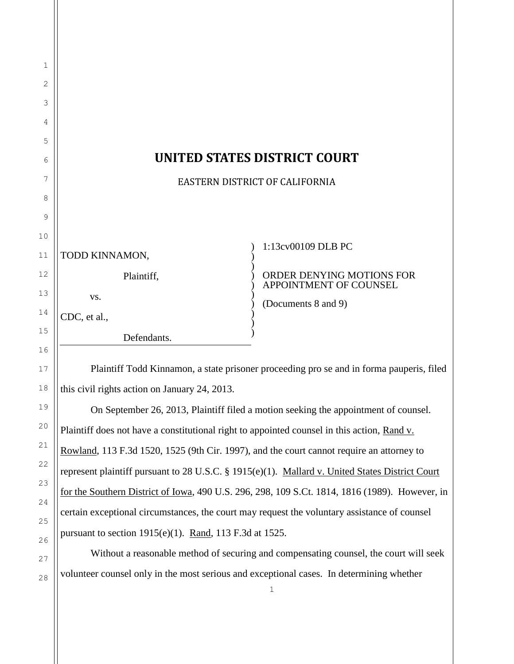| 1  |                                                                                          |                                                     |
|----|------------------------------------------------------------------------------------------|-----------------------------------------------------|
| 2  |                                                                                          |                                                     |
| 3  |                                                                                          |                                                     |
| 4  |                                                                                          |                                                     |
| 5  |                                                                                          |                                                     |
| 6  | <b>UNITED STATES DISTRICT COURT</b>                                                      |                                                     |
| 7  | EASTERN DISTRICT OF CALIFORNIA                                                           |                                                     |
| 8  |                                                                                          |                                                     |
| 9  |                                                                                          |                                                     |
| 10 |                                                                                          | 1:13cv00109 DLB PC                                  |
| 11 | TODD KINNAMON,                                                                           |                                                     |
| 12 | Plaintiff,                                                                               | ORDER DENYING MOTIONS FOR<br>APPOINTMENT OF COUNSEL |
| 13 | VS.                                                                                      | (Documents 8 and 9)                                 |
| 14 | CDC, et al.,                                                                             |                                                     |
| 15 | Defendants.                                                                              |                                                     |
| 16 |                                                                                          |                                                     |
| 17 | Plaintiff Todd Kinnamon, a state prisoner proceeding pro se and in forma pauperis, filed |                                                     |
| 18 | this civil rights action on January 24, 2013.                                            |                                                     |

On September 26, 2013, Plaintiff filed a motion seeking the appointment of counsel. Plaintiff does not have a constitutional right to appointed counsel in this action, Rand v. Rowland, 113 F.3d 1520, 1525 (9th Cir. 1997), and the court cannot require an attorney to represent plaintiff pursuant to 28 U.S.C. § 1915(e)(1). Mallard v. United States District Court for the Southern District of Iowa, 490 U.S. 296, 298, 109 S.Ct. 1814, 1816 (1989). However, in certain exceptional circumstances, the court may request the voluntary assistance of counsel pursuant to section  $1915(e)(1)$ . Rand, 113 F.3d at 1525.

19

20

21

22

23

24

25

26

27

28

Without a reasonable method of securing and compensating counsel, the court will seek volunteer counsel only in the most serious and exceptional cases. In determining whether

1